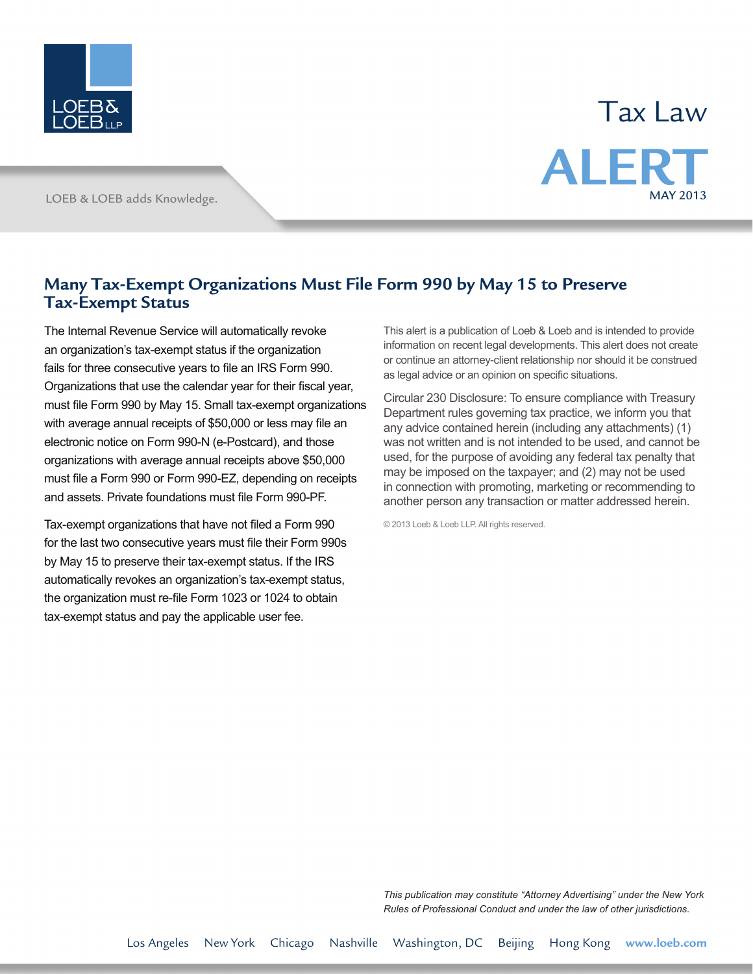

## Tax Law **ALER** MAY 2013

LOEB & LOEB adds Knowledge.

## **Many Tax-Exempt Organizations Must File Form 990 by May 15 to Preserve Tax-Exempt Status**

The Internal Revenue Service will automatically revoke an organization's tax-exempt status if the organization fails for three consecutive years to file an IRS Form 990. Organizations that use the calendar year for their fiscal year, must file Form 990 by May 15. Small tax-exempt organizations with average annual receipts of \$50,000 or less may file an electronic notice on Form 990-N (e-Postcard), and those organizations with average annual receipts above \$50,000 must file a Form 990 or Form 990-EZ, depending on receipts and assets. Private foundations must file Form 990-PF.

Tax-exempt organizations that have not filed a Form 990 for the last two consecutive years must file their Form 990s by May 15 to preserve their tax-exempt status. If the IRS automatically revokes an organization's tax-exempt status, the organization must re-file Form 1023 or 1024 to obtain tax-exempt status and pay the applicable user fee.

This alert is a publication of Loeb & Loeb and is intended to provide information on recent legal developments. This alert does not create or continue an attorney-client relationship nor should it be construed as legal advice or an opinion on specific situations.

Circular 230 Disclosure: To ensure compliance with Treasury Department rules governing tax practice, we inform you that any advice contained herein (including any attachments) (1) was not written and is not intended to be used, and cannot be used, for the purpose of avoiding any federal tax penalty that may be imposed on the taxpayer; and (2) may not be used in connection with promoting, marketing or recommending to another person any transaction or matter addressed herein.

© 2013 Loeb & Loeb LLP. All rights reserved.

*This publication may constitute "Attorney Advertising" under the New York Rules of Professional Conduct and under the law of other jurisdictions.*